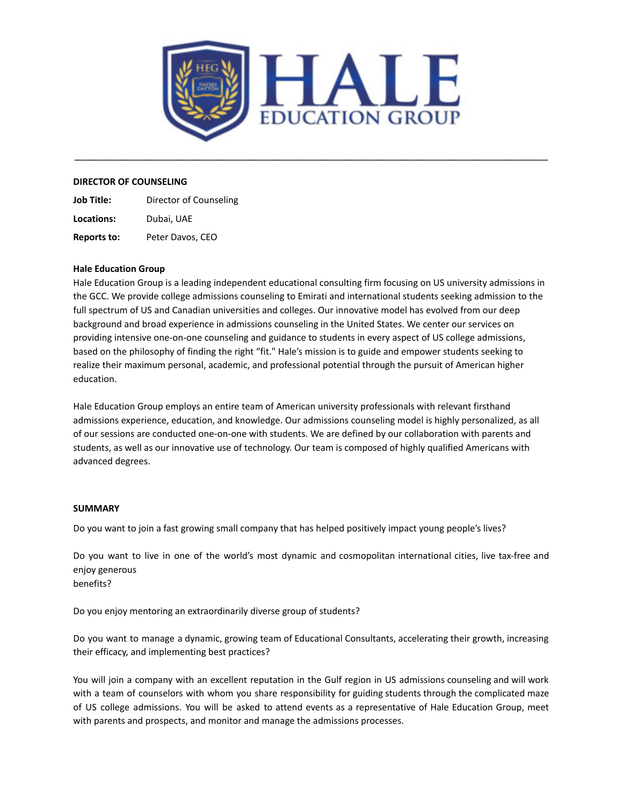

\_\_\_\_\_\_\_\_\_\_\_\_\_\_\_\_\_\_\_\_\_\_\_\_\_\_\_\_\_\_\_\_\_\_\_\_\_\_\_\_\_\_\_\_\_\_\_\_\_\_\_\_\_\_\_\_\_\_\_\_\_\_\_\_\_\_\_\_\_\_\_\_\_\_\_\_\_\_\_\_\_\_\_\_\_

#### **DIRECTOR OF COUNSELING**

**Job Title:** Director of Counseling **Locations:** Dubai, UAE **Reports to:** Peter Davos, CEO

#### **Hale Education Group**

Hale Education Group is a leading independent educational consulting firm focusing on US university admissions in the GCC. We provide college admissions counseling to Emirati and international students seeking admission to the full spectrum of US and Canadian universities and colleges. Our innovative model has evolved from our deep background and broad experience in admissions counseling in the United States. We center our services on providing intensive one-on-one counseling and guidance to students in every aspect of US college admissions, based on the philosophy of finding the right "fit." Hale's mission is to guide and empower students seeking to realize their maximum personal, academic, and professional potential through the pursuit of American higher education.

Hale Education Group employs an entire team of American university professionals with relevant firsthand admissions experience, education, and knowledge. Our admissions counseling model is highly personalized, as all of our sessions are conducted one-on-one with students. We are defined by our collaboration with parents and students, as well as our innovative use of technology. Our team is composed of highly qualified Americans with advanced degrees.

#### **SUMMARY**

Do you want to join a fast growing small company that has helped positively impact young people's lives?

Do you want to live in one of the world's most dynamic and cosmopolitan international cities, live tax-free and enjoy generous benefits?

Do you enjoy mentoring an extraordinarily diverse group of students?

Do you want to manage a dynamic, growing team of Educational Consultants, accelerating their growth, increasing their efficacy, and implementing best practices?

You will join a company with an excellent reputation in the Gulf region in US admissions counseling and will work with a team of counselors with whom you share responsibility for guiding students through the complicated maze of US college admissions. You will be asked to attend events as a representative of Hale Education Group, meet with parents and prospects, and monitor and manage the admissions processes.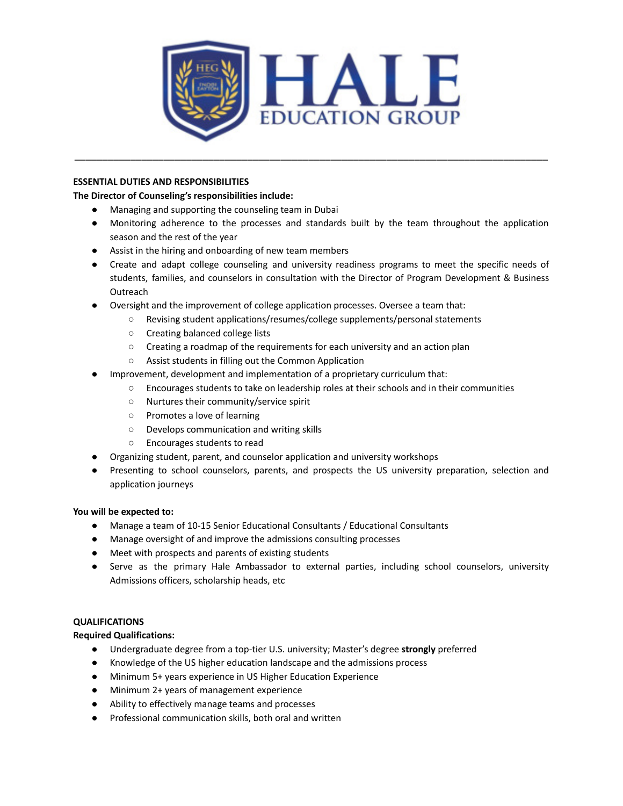

\_\_\_\_\_\_\_\_\_\_\_\_\_\_\_\_\_\_\_\_\_\_\_\_\_\_\_\_\_\_\_\_\_\_\_\_\_\_\_\_\_\_\_\_\_\_\_\_\_\_\_\_\_\_\_\_\_\_\_\_\_\_\_\_\_\_\_\_\_\_\_\_\_\_\_\_\_\_\_\_\_\_\_\_\_

## **ESSENTIAL DUTIES AND RESPONSIBILITIES**

# **The Director of Counseling's responsibilities include:**

- Managing and supporting the counseling team in Dubai
- Monitoring adherence to the processes and standards built by the team throughout the application season and the rest of the year
- Assist in the hiring and onboarding of new team members
- Create and adapt college counseling and university readiness programs to meet the specific needs of students, families, and counselors in consultation with the Director of Program Development & Business **Outreach**
- Oversight and the improvement of college application processes. Oversee a team that:
	- Revising student applications/resumes/college supplements/personal statements
	- Creating balanced college lists
	- Creating a roadmap of the requirements for each university and an action plan
	- Assist students in filling out the Common Application
- Improvement, development and implementation of a proprietary curriculum that:
	- Encourages students to take on leadership roles at their schools and in their communities
	- Nurtures their community/service spirit
	- Promotes a love of learning
	- Develops communication and writing skills
	- Encourages students to read
- Organizing student, parent, and counselor application and university workshops
- Presenting to school counselors, parents, and prospects the US university preparation, selection and application journeys

## **You will be expected to:**

- Manage a team of 10-15 Senior Educational Consultants / Educational Consultants
- Manage oversight of and improve the admissions consulting processes
- Meet with prospects and parents of existing students
- Serve as the primary Hale Ambassador to external parties, including school counselors, university Admissions officers, scholarship heads, etc

## **QUALIFICATIONS**

## **Required Qualifications:**

- Undergraduate degree from a top-tier U.S. university; Master's degree **strongly** preferred
- Knowledge of the US higher education landscape and the admissions process
- Minimum 5+ years experience in US Higher Education Experience
- Minimum 2+ years of management experience
- Ability to effectively manage teams and processes
- Professional communication skills, both oral and written